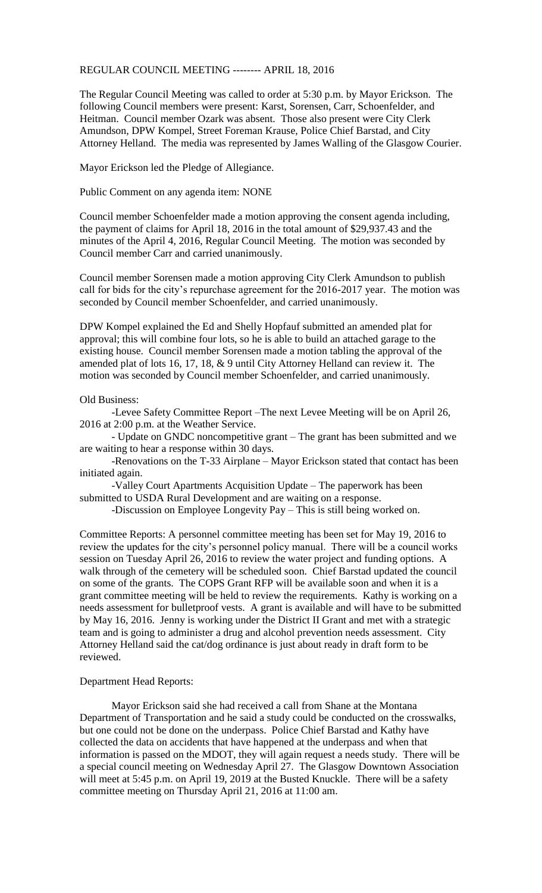REGULAR COUNCIL MEETING -------- APRIL 18, 2016

The Regular Council Meeting was called to order at 5:30 p.m. by Mayor Erickson. The following Council members were present: Karst, Sorensen, Carr, Schoenfelder, and Heitman. Council member Ozark was absent. Those also present were City Clerk Amundson, DPW Kompel, Street Foreman Krause, Police Chief Barstad, and City Attorney Helland. The media was represented by James Walling of the Glasgow Courier.

Mayor Erickson led the Pledge of Allegiance.

Public Comment on any agenda item: NONE

Council member Schoenfelder made a motion approving the consent agenda including, the payment of claims for April 18, 2016 in the total amount of \$29,937.43 and the minutes of the April 4, 2016, Regular Council Meeting. The motion was seconded by Council member Carr and carried unanimously.

Council member Sorensen made a motion approving City Clerk Amundson to publish call for bids for the city's repurchase agreement for the 2016-2017 year. The motion was seconded by Council member Schoenfelder, and carried unanimously.

DPW Kompel explained the Ed and Shelly Hopfauf submitted an amended plat for approval; this will combine four lots, so he is able to build an attached garage to the existing house. Council member Sorensen made a motion tabling the approval of the amended plat of lots 16, 17, 18, & 9 until City Attorney Helland can review it. The motion was seconded by Council member Schoenfelder, and carried unanimously.

## Old Business:

-Levee Safety Committee Report –The next Levee Meeting will be on April 26, 2016 at 2:00 p.m. at the Weather Service.

- Update on GNDC noncompetitive grant – The grant has been submitted and we are waiting to hear a response within 30 days.

-Renovations on the T-33 Airplane – Mayor Erickson stated that contact has been initiated again.

-Valley Court Apartments Acquisition Update – The paperwork has been submitted to USDA Rural Development and are waiting on a response.

-Discussion on Employee Longevity Pay – This is still being worked on.

Committee Reports: A personnel committee meeting has been set for May 19, 2016 to review the updates for the city's personnel policy manual. There will be a council works session on Tuesday April 26, 2016 to review the water project and funding options. A walk through of the cemetery will be scheduled soon. Chief Barstad updated the council on some of the grants. The COPS Grant RFP will be available soon and when it is a grant committee meeting will be held to review the requirements. Kathy is working on a needs assessment for bulletproof vests. A grant is available and will have to be submitted by May 16, 2016. Jenny is working under the District II Grant and met with a strategic team and is going to administer a drug and alcohol prevention needs assessment. City Attorney Helland said the cat/dog ordinance is just about ready in draft form to be reviewed.

## Department Head Reports:

Mayor Erickson said she had received a call from Shane at the Montana Department of Transportation and he said a study could be conducted on the crosswalks, but one could not be done on the underpass. Police Chief Barstad and Kathy have collected the data on accidents that have happened at the underpass and when that information is passed on the MDOT, they will again request a needs study. There will be a special council meeting on Wednesday April 27. The Glasgow Downtown Association will meet at 5:45 p.m. on April 19, 2019 at the Busted Knuckle. There will be a safety committee meeting on Thursday April 21, 2016 at 11:00 am.